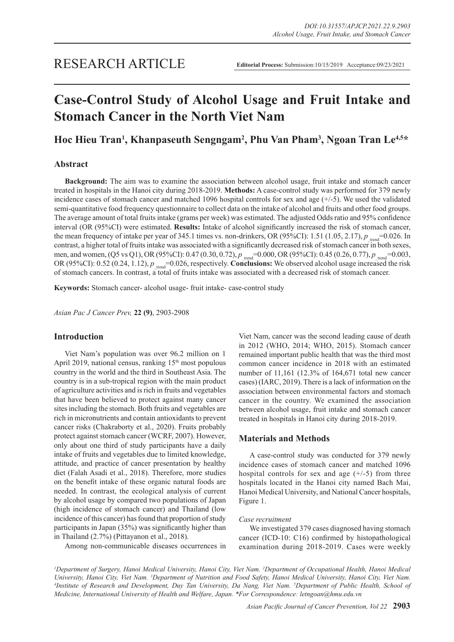# **Case-Control Study of Alcohol Usage and Fruit Intake and Stomach Cancer in the North Viet Nam**

## **Hoc Hieu Tran1 , Khanpaseuth Sengngam2 , Phu Van Pham3 , Ngoan Tran Le4,5\***

## **Abstract**

**Background:** The aim was to examine the association between alcohol usage, fruit intake and stomach cancer treated in hospitals in the Hanoi city during 2018-2019. **Methods:** A case-control study was performed for 379 newly incidence cases of stomach cancer and matched 1096 hospital controls for sex and age  $(+/-)$ . We used the validated semi-quantitative food frequency questionnaire to collect data on the intake of alcohol and fruits and other food groups. The average amount of total fruits intake (grams per week) was estimated. The adjusted Odds ratio and 95% confidence interval (OR (95%CI) were estimated. **Results:** Intake of alcohol significantly increased the risk of stomach cancer, the mean frequency of intake per year of 345.1 times vs. non-drinkers, OR (95%CI): 1.51 (1.05, 2.17),  $p_{\text{trend}}$ =0.026. In contrast, a higher total of fruits intake was associated with a significantly decreased risk of stomach cancer in both sexes, men, and women, (Q5 vs Q1), OR (95%CI): 0.47 (0.30, 0.72),  $p_{\text{trend}} = 0.000$ , OR (95%CI): 0.45 (0.26, 0.77),  $p_{\text{trend}} = 0.003$ , OR (95%CI):  $0.52$  (0.24, 1.12),  $p_{\text{trend}} = 0.026$ , respectively. **Conclusions:** We observed alcohol usage increased the risk of stomach cancers. In contrast, a total of fruits intake was associated with a decreased risk of stomach cancer.

**Keywords:** Stomach cancer- alcohol usage- fruit intake- case-control study

*Asian Pac J Cancer Prev,* **22 (9)**, 2903-2908

#### **Introduction**

Viet Nam's population was over 96.2 million on 1 April 2019, national census, ranking  $15<sup>th</sup>$  most populous country in the world and the third in Southeast Asia. The country is in a sub-tropical region with the main product of agriculture activities and is rich in fruits and vegetables that have been believed to protect against many cancer sites including the stomach. Both fruits and vegetables are rich in micronutrients and contain antioxidants to prevent cancer risks (Chakraborty et al., 2020). Fruits probably protect against stomach cancer (WCRF, 2007). However, only about one third of study participants have a daily intake of fruits and vegetables due to limited knowledge, attitude, and practice of cancer presentation by healthy diet (Falah Asadi et al., 2018). Therefore, more studies on the benefit intake of these organic natural foods are needed. In contrast, the ecological analysis of current by alcohol usage by compared two populations of Japan (high incidence of stomach cancer) and Thailand (low incidence of this cancer) has found that proportion of study participants in Japan (35%) was significantly higher than in Thailand (2.7%) (Pittayanon et al., 2018).

Among non-communicable diseases occurrences in

Viet Nam, cancer was the second leading cause of death in 2012 (WHO, 2014; WHO, 2015). Stomach cancer remained important public health that was the third most common cancer incidence in 2018 with an estimated number of 11,161 (12.3% of 164,671 total new cancer cases) (IARC, 2019). There is a lack of information on the association between environmental factors and stomach cancer in the country. We examined the association between alcohol usage, fruit intake and stomach cancer treated in hospitals in Hanoi city during 2018-2019.

#### **Materials and Methods**

A case-control study was conducted for 379 newly incidence cases of stomach cancer and matched 1096 hospital controls for sex and age  $(+/-5)$  from three hospitals located in the Hanoi city named Bach Mai, Hanoi Medical University, and National Cancer hospitals, Figure 1.

#### *Case recruitment*

We investigated 379 cases diagnosed having stomach cancer (ICD-10: C16) confirmed by histopathological examination during 2018-2019. Cases were weekly

*1 Department of Surgery, Hanoi Medical University, Hanoi City, Viet Nam. 2 Department of Occupational Health, Hanoi Medical University, Hanoi City, Viet Nam. 3 Department of Nutrition and Food Safety, Hanoi Medical University, Hanoi City, Viet Nam. 4 Institute of Research and Development, Duy Tan University, Da Nang, Viet Nam. 5 Department of Public Health, School of Medicine, International University of Health and Welfare, Japan. \*For Correspondence: letngoan@hmu.edu.vn*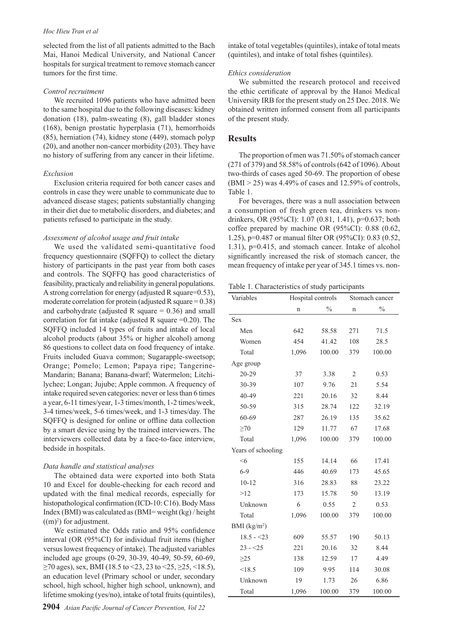#### *Hoc Hieu Tran et al*

selected from the list of all patients admitted to the Bach Mai, Hanoi Medical University, and National Cancer hospitals for surgical treatment to remove stomach cancer tumors for the first time.

#### *Control recruitment*

We recruited 1096 patients who have admitted been to the same hospital due to the following diseases: kidney donation (18), palm-sweating (8), gall bladder stones (168), benign prostatic hyperplasia (71), hemorrhoids (85), herniation (74), kidney stone (449), stomach polyp (20), and another non-cancer morbidity (203). They have no history of suffering from any cancer in their lifetime.

#### *Exclusion*

Exclusion criteria required for both cancer cases and controls in case they were unable to communicate due to advanced disease stages; patients substantially changing in their diet due to metabolic disorders, and diabetes; and patients refused to participate in the study.

#### *Assessment of alcohol usage and fruit intake*

We used the validated semi-quantitative food frequency questionnaire (SQFFQ) to collect the dietary history of participants in the past year from both cases and controls. The SQFFQ has good characteristics of feasibility, practicaly and reliability in general populations. A strong correlation for energy (adjusted R square=0.53), moderate correlation for protein (adjusted R square  $= 0.38$ ) and carbohydrate (adjusted R square  $= 0.36$ ) and small correlation for fat intake (adjusted R square  $=0.20$ ). The SQFFQ included 14 types of fruits and intake of local alcohol products (about 35% or higher alcohol) among 86 questions to collect data on food frequency of intake. Fruits included Guava common; Sugarapple-sweetsop; Orange; Pomelo; Lemon; Papaya ripe; Tangerine-Mandarin; Banana; Banana-dwarf; Watermelon; Litchilychee; Longan; Jujube; Apple common. A frequency of intake required seven categories: never or less than 6 times a year, 6-11 times/year, 1-3 times/month, 1-2 times/week, 3-4 times/week, 5-6 times/week, and 1-3 times/day. The SQFFQ is designed for online or offline data collection by a smart device using by the trained interviewers. The interviewers collected data by a face-to-face interview, bedside in hospitals.

#### *Data handle and statistical analyses*

The obtained data were exported into both Stata 10 and Excel for double-checking for each record and updated with the final medical records, especially for histopathological confirmation (ICD-10: C16). Body Mass Index (BMI) was calculated as (BMI= weight (kg) / height  $((m)<sup>2</sup>)$  for adjustment.

We estimated the Odds ratio and 95% confidence interval (OR (95%CI) for individual fruit items (higher versus lowest frequency of intake). The adjusted variables included age groups (0-29, 30-39, 40-49, 50-59, 60-69,  $\geq$ 70 ages), sex, BMI (18.5 to <23, 23 to <25,  $\geq$ 25, <18.5), an education level (Primary school or under, secondary school, high school, higher high school, unknown), and lifetime smoking (yes/no), intake of total fruits (quintiles),

intake of total vegetables (quintiles), intake of total meats (quintiles), and intake of total fishes (quintiles).

#### *Ethics consideration*

We submitted the research protocol and received the ethic certificate of approval by the Hanoi Medical University IRB for the present study on 25 Dec. 2018. We obtained written informed consent from all participants of the present study.

#### **Results**

The proportion of men was 71.50% of stomach cancer (271 of 379) and 58.58% of controls (642 of 1096). About two-thirds of cases aged 50-69. The proportion of obese  $(BMI > 25)$  was 4.49% of cases and 12.59% of controls, Table 1.

For beverages, there was a null association between a consumption of fresh green tea, drinkers vs nondrinkers, OR (95%CI): 1.07 (0.81, 1.41), p=0.637; both coffee prepared by machine OR (95%CI): 0.88 (0.62, 1.25), p=0.487 or manual filter OR (95%CI): 0.83 (0.52, 1.31), p=0.415, and stomach cancer. Intake of alcohol significantly increased the risk of stomach cancer, the mean frequency of intake per year of 345.1 times vs. non-

Table 1. Characteristics of study participants

| Variables          | Hospital controls |               | Stomach cancer |               |
|--------------------|-------------------|---------------|----------------|---------------|
|                    | n                 | $\frac{0}{0}$ | n              | $\frac{0}{0}$ |
| <b>Sex</b>         |                   |               |                |               |
| Men                | 642               | 58.58         | 271            | 71.5          |
| Women              | 454               | 41.42         | 108            | 28.5          |
| Total              | 1,096             | 100.00        | 379            | 100.00        |
| Age group          |                   |               |                |               |
| 20-29              | 37                | 3.38          | $\overline{2}$ | 0.53          |
| 30-39              | 107               | 9.76          | 21             | 5.54          |
| 40-49              | 221               | 20.16         | 32             | 8.44          |
| 50-59              | 315               | 28.74         | 122            | 32.19         |
| 60-69              | 287               | 26.19         | 135            | 35.62         |
| $\geq 70$          | 129               | 11.77         | 67             | 17.68         |
| Total              | 1,096             | 100.00        | 379            | 100.00        |
| Years of schooling |                   |               |                |               |
| < 6                | 155               | 14.14         | 66             | 17.41         |
| $6 - 9$            | 446               | 40.69         | 173            | 45.65         |
| $10 - 12$          | 316               | 28.83         | 88             | 23.22         |
| >12                | 173               | 15.78         | 50             | 13.19         |
| Unknown            | 6                 | 0.55          | $\overline{2}$ | 0.53          |
| Total              | 1,096             | 100.00        | 379            | 100.00        |
| BMI $(kg/m2)$      |                   |               |                |               |
| $18.5 - 23$        | 609               | 55.57         | 190            | 50.13         |
| $23 - 25$          | 221               | 20.16         | 32             | 8.44          |
| $\geq$ 25          | 138               | 12.59         | 17             | 4.49          |
| < 18.5             | 109               | 9.95          | 114            | 30.08         |
| Unknown            | 19                | 1.73          | 26             | 6.86          |
| Total              | 1,096             | 100.00        | 379            | 100.00        |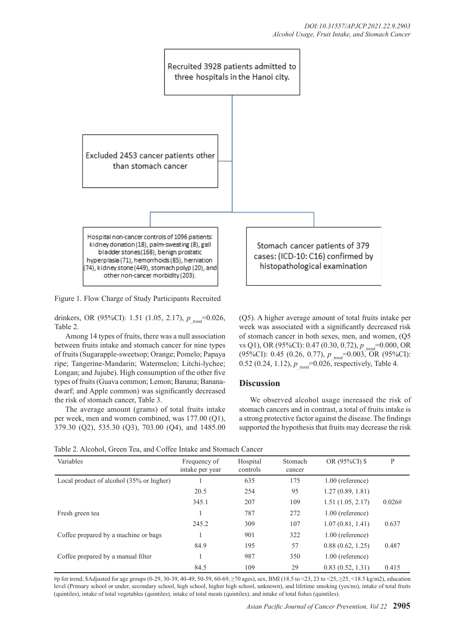

Figure 1. Flow Charge of Study Participants Recruited

drinkers, OR (95%CI): 1.51 (1.05, 2.17),  $p_{\text{trend}}$ =0.026, Table 2.

Among 14 types of fruits, there was a null association between fruits intake and stomach cancer for nine types of fruits (Sugarapple-sweetsop; Orange; Pomelo; Papaya ripe; Tangerine-Mandarin; Watermelon; Litchi-lychee; Longan; and Jujube). High consumption of the other five types of fruits (Guava common; Lemon; Banana; Bananadwarf; and Apple common) was significantly decreased the risk of stomach cancer, Table 3.

The average amount (grams) of total fruits intake per week, men and women combined, was 177.00 (Q1), 379.30 (Q2), 535.30 (Q3), 703.00 (Q4), and 1485.00 (Q5). A higher average amount of total fruits intake per week was associated with a significantly decreased risk of stomach cancer in both sexes, men, and women, (Q5 vs Q1), OR (95%CI): 0.47 (0.30, 0.72),  $p_{\text{total}} = 0.000$ , OR (95%CI): 0.45 (0.26, 0.77),  $p_{\text{trend}} = 0.003$ , OR (95%CI): 0.52 (0.24, 1.12),  $p_{\text{trend}} = 0.026$ , respectively, Table 4.

## **Discussion**

We observed alcohol usage increased the risk of stomach cancers and in contrast, a total of fruits intake is a strong protective factor against the disease. The findings supported the hypothesis that fruits may decrease the risk

Table 2. Alcohol, Green Tea, and Coffee Intake and Stomach Cancer

| Variables                                | Frequency of<br>intake per year | Hospital<br>controls | Stomach<br>cancer | OR (95%CI) \$      | P      |
|------------------------------------------|---------------------------------|----------------------|-------------------|--------------------|--------|
| Local product of alcohol (35% or higher) |                                 | 635                  | 175               | $1.00$ (reference) |        |
|                                          | 20.5                            | 254                  | 95                | 1.27(0.89, 1.81)   |        |
|                                          | 345.1                           | 207                  | 109               | 1.51(1.05, 2.17)   | 0.026# |
| Fresh green tea                          |                                 | 787                  | 272               | $1.00$ (reference) |        |
|                                          | 245.2                           | 309                  | 107               | 1.07(0.81, 1.41)   | 0.637  |
| Coffee prepared by a machine or bags     |                                 | 901                  | 322               | $1.00$ (reference) |        |
|                                          | 84.9                            | 195                  | 57                | 0.88(0.62, 1.25)   | 0.487  |
| Coffee prepared by a manual filter       |                                 | 987                  | 350               | $1.00$ (reference) |        |
|                                          | 84.5                            | 109                  | 29                | 0.83(0.52, 1.31)   | 0.415  |

#p for trend; \$Adjusted for age groups (0-29, 30-39, 40-49, 50-59, 60-69, ≥70 ages), sex, BMI (18.5 to <23, 23 to <25, ≥25, <18.5 kg/m2), education level (Primary school or under, secondary school, high school, higher high school, unknown), and lifetime smoking (yes/no), intake of total fruits (quintiles), intake of total vegetables (quintiles), intake of total meats (quintiles), and intake of total fishes (quintiles).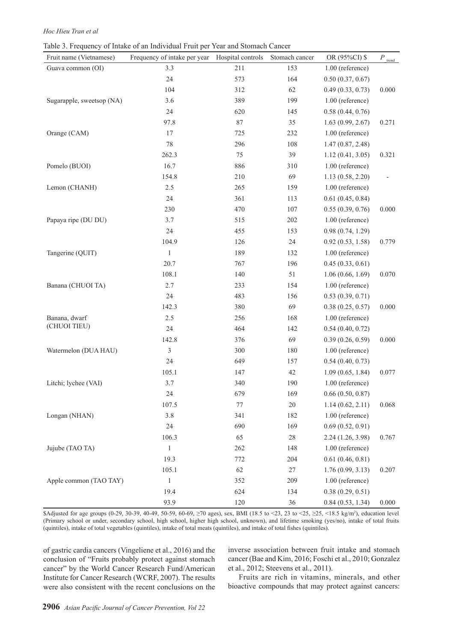#### *Hoc Hieu Tran et al*

Table 3. Frequency of Intake of an Individual Fruit per Year and Stomach Cancer

| Fruit name (Vietnamese)   | Frequency of intake per year | Hospital controls | Stomach cancer | OR (95%CI) \$     | $P_{\rm \; trend}$ |
|---------------------------|------------------------------|-------------------|----------------|-------------------|--------------------|
| Guava common (OI)         | 3.3                          | 211               | 153            | 1.00 (reference)  |                    |
|                           | 24                           | 573               | 164            | 0.50(0.37, 0.67)  |                    |
|                           | 104                          | 312               | 62             | 0.49(0.33, 0.73)  | 0.000              |
| Sugarapple, sweetsop (NA) | 3.6                          | 389               | 199            | 1.00 (reference)  |                    |
|                           | 24                           | 620               | 145            | 0.58(0.44, 0.76)  |                    |
|                           | 97.8                         | 87                | 35             | 1.63(0.99, 2.67)  | 0.271              |
| Orange (CAM)              | 17                           | 725               | 232            | 1.00 (reference)  |                    |
|                           | 78                           | 296               | 108            | 1.47(0.87, 2.48)  |                    |
|                           | 262.3                        | 75                | 39             | 1.12(0.41, 3.05)  | 0.321              |
| Pomelo (BUOI)             | 16.7                         | 886               | 310            | 1.00 (reference)  |                    |
|                           | 154.8                        | 210               | 69             | 1.13(0.58, 2.20)  |                    |
| Lemon (CHANH)             | 2.5                          | 265               | 159            | 1.00 (reference)  |                    |
|                           | 24                           | 361               | 113            | 0.61(0.45, 0.84)  |                    |
|                           | 230                          | 470               | 107            | 0.55(0.39, 0.76)  | 0.000              |
| Papaya ripe (DU DU)       | 3.7                          | 515               | 202            | 1.00 (reference)  |                    |
|                           | 24                           | 455               | 153            | 0.98(0.74, 1.29)  |                    |
|                           | 104.9                        | 126               | 24             | 0.92(0.53, 1.58)  | 0.779              |
| Tangerine (QUIT)          | $\mathbf{1}$                 | 189               | 132            | 1.00 (reference)  |                    |
|                           | 20.7                         | 767               | 196            | 0.45(0.33, 0.61)  |                    |
|                           | 108.1                        | 140               | 51             | 1.06(0.66, 1.69)  | 0.070              |
| Banana (CHUOI TA)         | 2.7                          | 233               | 154            | 1.00 (reference)  |                    |
|                           | 24                           | 483               | 156            | 0.53(0.39, 0.71)  |                    |
|                           | 142.3                        | 380               | 69             | 0.38(0.25, 0.57)  | 0.000              |
| Banana, dwarf             | 2.5                          | 256               | 168            | 1.00 (reference)  |                    |
| (CHUOI TIEU)              | 24                           | 464               | 142            | 0.54(0.40, 0.72)  |                    |
|                           | 142.8                        | 376               | 69             | 0.39(0.26, 0.59)  | 0.000              |
| Watermelon (DUA HAU)      | $\mathfrak{Z}$               | 300               | 180            | 1.00 (reference)  |                    |
|                           | 24                           | 649               | 157            | 0.54(0.40, 0.73)  |                    |
|                           | 105.1                        | 147               | 42             | 1.09(0.65, 1.84)  | 0.077              |
| Litchi; lychee (VAI)      | 3.7                          | 340               | 190            | 1.00 (reference)  |                    |
|                           | 24                           | 679               | 169            | 0.66(0.50, 0.87)  |                    |
|                           | 107.5                        | 77                | 20             | 1.14(0.62, 2.11)  | 0.068              |
| Longan (NHAN)             | 3.8                          | 341               | 182            | 1.00 (reference)  |                    |
|                           | 24                           | 690               | 169            | 0.69(0.52, 0.91)  |                    |
|                           | 106.3                        | 65                | $28\,$         | 2.24 (1.26, 3.98) | 0.767              |
| Jujube (TAO TA)           | $\mathbf{1}$                 | 262               | 148            | 1.00 (reference)  |                    |
|                           | 19.3                         | 772               | 204            | 0.61(0.46, 0.81)  |                    |
|                           | 105.1                        | 62                | 27             | 1.76(0.99, 3.13)  | 0.207              |
| Apple common (TAO TAY)    | $\mathbf{1}$                 | 352               | 209            | 1.00 (reference)  |                    |
|                           | 19.4                         | 624               | 134            | 0.38(0.29, 0.51)  |                    |
|                           | 93.9                         | 120               | 36             | 0.84(0.53, 1.34)  | 0.000              |

\$Adjusted for age groups (0-29, 30-39, 40-49, 50-59, 60-69,  $\geq 70$  ages), sex, BMI (18.5 to <23, 23 to <25,  $\geq 25$ , <18.5 kg/m<sup>2</sup>), education level (Primary school or under, secondary school, high school, higher high school, unknown), and lifetime smoking (yes/no), intake of total fruits (quintiles), intake of total vegetables (quintiles), intake of total meats (quintiles), and intake of total fishes (quintiles).

of gastric cardia cancers (Vingeliene et al., 2016) and the conclusion of "Fruits probably protect against stomach cancer" by the World Cancer Research Fund/American Institute for Cancer Research (WCRF, 2007). The results were also consistent with the recent conclusions on the inverse association between fruit intake and stomach cancer (Bae and Kim, 2016; Foschi et al., 2010; Gonzalez et al., 2012; Steevens et al., 2011).

Fruits are rich in vitamins, minerals, and other bioactive compounds that may protect against cancers: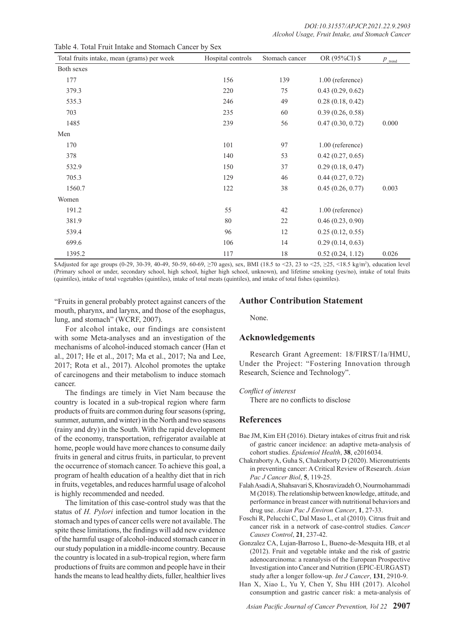| Total fruits intake, mean (grams) per week | Hospital controls | Stomach cancer | OR (95%CI) \$      | $P_{\text{trend}}$ |
|--------------------------------------------|-------------------|----------------|--------------------|--------------------|
| Both sexes                                 |                   |                |                    |                    |
| 177                                        | 156               | 139            | $1.00$ (reference) |                    |
| 379.3                                      | 220               | 75             | 0.43(0.29, 0.62)   |                    |
| 535.3                                      | 246               | 49             | 0.28(0.18, 0.42)   |                    |
| 703                                        | 235               | 60             | 0.39(0.26, 0.58)   |                    |
| 1485                                       | 239               | 56             | 0.47(0.30, 0.72)   | 0.000              |
| Men                                        |                   |                |                    |                    |
| 170                                        | 101               | 97             | $1.00$ (reference) |                    |
| 378                                        | 140               | 53             | 0.42(0.27, 0.65)   |                    |
| 532.9                                      | 150               | 37             | 0.29(0.18, 0.47)   |                    |
| 705.3                                      | 129               | 46             | 0.44(0.27, 0.72)   |                    |
| 1560.7                                     | 122               | 38             | 0.45(0.26, 0.77)   | 0.003              |
| Women                                      |                   |                |                    |                    |
| 191.2                                      | 55                | 42             | 1.00 (reference)   |                    |
| 381.9                                      | $80\,$            | 22             | 0.46(0.23, 0.90)   |                    |
| 539.4                                      | 96                | 12             | 0.25(0.12, 0.55)   |                    |
| 699.6                                      | 106               | 14             | 0.29(0.14, 0.63)   |                    |
| 1395.2                                     | 117               | 18             | 0.52(0.24, 1.12)   | 0.026              |

Table 4. Total Fruit Intake and Stomach Cancer by Sex

\$Adjusted for age groups (0-29, 30-39, 40-49, 50-59, 60-69, ≥70 ages), sex, BMI (18.5 to <23, 23 to <25, ≥25, <18.5 kg/m<sup>2</sup> ), education level (Primary school or under, secondary school, high school, higher high school, unknown), and lifetime smoking (yes/no), intake of total fruits (quintiles), intake of total vegetables (quintiles), intake of total meats (quintiles), and intake of total fishes (quintiles).

"Fruits in general probably protect against cancers of the mouth, pharynx, and larynx, and those of the esophagus, lung, and stomach" (WCRF, 2007).

For alcohol intake, our findings are consistent with some Meta-analyses and an investigation of the mechanisms of alcohol-induced stomach cancer (Han et al., 2017; He et al., 2017; Ma et al., 2017; Na and Lee, 2017; Rota et al., 2017). Alcohol promotes the uptake of carcinogens and their metabolism to induce stomach cancer.

The findings are timely in Viet Nam because the country is located in a sub-tropical region where farm products of fruits are common during four seasons (spring, summer, autumn, and winter) in the North and two seasons (rainy and dry) in the South. With the rapid development of the economy, transportation, refrigerator available at home, people would have more chances to consume daily fruits in general and citrus fruits, in particular, to prevent the occurrence of stomach cancer. To achieve this goal, a program of health education of a healthy diet that in rich in fruits, vegetables, and reduces harmful usage of alcohol is highly recommended and needed.

The limitation of this case-control study was that the status of *H. Pylori* infection and tumor location in the stomach and types of cancer cells were not available. The spite these limitations, the findings will add new evidence of the harmful usage of alcohol-induced stomach cancer in our study population in a middle-income country. Because the country is located in a sub-tropical region, where farm productions of fruits are common and people have in their hands the means to lead healthy diets, fuller, healthier lives

## **Author Contribution Statement**

None.

## **Acknowledgements**

Research Grant Agreement: 18/FIRST/1a/HMU, Under the Project: "Fostering Innovation through Research, Science and Technology".

#### *Conflict of interest*

There are no conflicts to disclose

## **References**

- Bae JM, Kim EH (2016). Dietary intakes of citrus fruit and risk of gastric cancer incidence: an adaptive meta-analysis of cohort studies. *Epidemiol Health*, **38**, e2016034.
- Chakraborty A, Guha S, Chakraborty D (2020). Micronutrients in preventing cancer: A Critical Review of Research. *Asian Pac J Cancer Biol*, **5**, 119-25.
- Falah Asadi A, Shahsavari S, Khosravizadeh O, Nourmohammadi M (2018). The relationship between knowledge, attitude, and performance in breast cancer with nutritional behaviors and drug use. *Asian Pac J Environ Cancer*, **1**, 27-33.
- Foschi R, Pelucchi C, Dal Maso L, et al (2010). Citrus fruit and cancer risk in a network of case-control studies. *Cancer Causes Control*, **21**, 237-42.
- Gonzalez CA, Lujan-Barroso L, Bueno-de-Mesquita HB, et al (2012). Fruit and vegetable intake and the risk of gastric adenocarcinoma: a reanalysis of the European Prospective Investigation into Cancer and Nutrition (EPIC-EURGAST) study after a longer follow-up. *Int J Cancer*, **131**, 2910-9.
- Han X, Xiao L, Yu Y, Chen Y, Shu HH (2017). Alcohol consumption and gastric cancer risk: a meta-analysis of